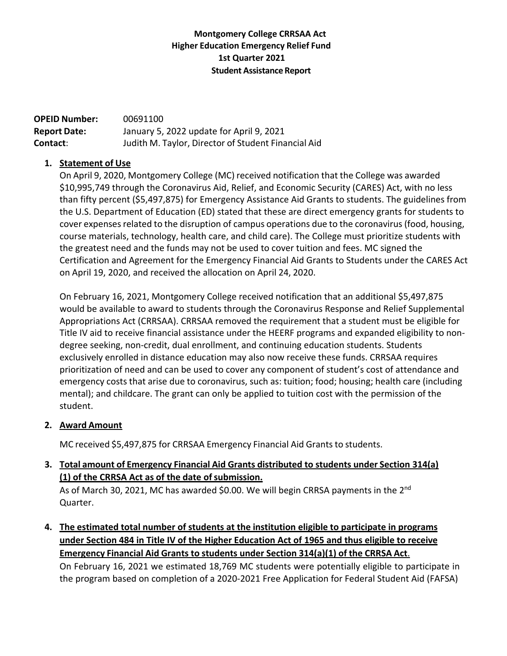## **Montgomery College CRRSAA Act Higher Education Emergency Relief Fund 1st Quarter 2021 Student Assistance Report**

| <b>OPEID Number:</b> | 00691100                                            |
|----------------------|-----------------------------------------------------|
| <b>Report Date:</b>  | January 5, 2022 update for April 9, 2021            |
| Contact:             | Judith M. Taylor, Director of Student Financial Aid |

#### **1. Statement of Use**

On April 9, 2020, Montgomery College (MC) received notification that the College was awarded \$10,995,749 through the Coronavirus Aid, Relief, and Economic Security (CARES) Act, with no less than fifty percent (\$5,497,875) for Emergency Assistance Aid Grants to students. The guidelines from the U.S. Department of Education (ED) stated that these are direct emergency grants for students to cover expenses related to the disruption of campus operations due to the coronavirus (food, housing, course materials, technology, health care, and child care). The College must prioritize students with the greatest need and the funds may not be used to cover tuition and fees. MC signed the Certification and Agreement for the Emergency Financial Aid Grants to Students under the CARES Act on April 19, 2020, and received the allocation on April 24, 2020.

On February 16, 2021, Montgomery College received notification that an additional \$5,497,875 would be available to award to students through the Coronavirus Response and Relief Supplemental Appropriations Act (CRRSAA). CRRSAA removed the requirement that a student must be eligible for Title IV aid to receive financial assistance under the HEERF programs and expanded eligibility to non‐ degree seeking, non‐credit, dual enrollment, and continuing education students. Students exclusively enrolled in distance education may also now receive these funds. CRRSAA requires prioritization of need and can be used to cover any component of student's cost of attendance and emergency costs that arise due to coronavirus, such as: tuition; food; housing; health care (including mental); and childcare. The grant can only be applied to tuition cost with the permission of the student.

#### **2. Award Amount**

MC received \$5,497,875 for CRRSAA Emergency Financial Aid Grants to students.

# **3. Total amount of Emergency Financial Aid Grants distributed to students under Section 314(a) (1) of the CRRSA Act as of the date ofsubmission.**

As of March 30, 2021, MC has awarded \$0.00. We will begin CRRSA payments in the 2<sup>nd</sup> Quarter.

**4. The estimated total number of students at the institution eligible to participate in programs under Section 484 in Title IV of the Higher Education Act of 1965 and thus eligible to receive Emergency Financial Aid Grants to students under Section 314(a)(1) of the CRRSA Act**.

On February 16, 2021 we estimated 18,769 MC students were potentially eligible to participate in the program based on completion of a 2020‐2021 Free Application for Federal Student Aid (FAFSA)